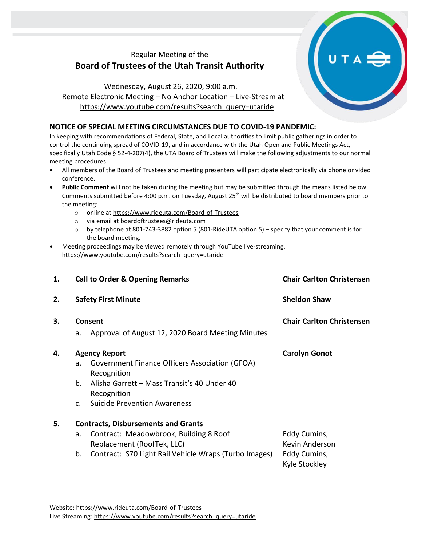## Regular Meeting of the **Board of Trustees of the Utah Transit Authority**

Wednesday, August 26, 2020, 9:00 a.m. Remote Electronic Meeting – No Anchor Location – Live-Stream at [https://www.youtube.com/results?search\\_query=utaride](https://www.youtube.com/results?search_query=utaride)

## **NOTICE OF SPECIAL MEETING CIRCUMSTANCES DUE TO COVID-19 PANDEMIC:**

In keeping with recommendations of Federal, State, and Local authorities to limit public gatherings in order to control the continuing spread of COVID-19, and in accordance with the Utah Open and Public Meetings Act, specifically Utah Code § 52-4-207(4), the UTA Board of Trustees will make the following adjustments to our normal meeting procedures.

- All members of the Board of Trustees and meeting presenters will participate electronically via phone or video conference.
- **Public Comment** will not be taken during the meeting but may be submitted through the means listed below. Comments submitted before 4:00 p.m. on Tuesday, August 25<sup>th</sup> will be distributed to board members prior to the meeting:
	- o online at <https://www.rideuta.com/Board-of-Trustees>
	- o via email at [boardoftrustees@rideuta.com](mailto:boardoftrustees@rideuta.com)
	- o by telephone at 801-743-3882 option 5 (801-RideUTA option 5) specify that your comment is for the board meeting.
- Meeting proceedings may be viewed remotely through YouTube live-streaming. [https://www.youtube.com/results?search\\_query=utaride](https://www.youtube.com/results?search_query=utaride)

| 1. |                                            | <b>Call to Order &amp; Opening Remarks</b>                           | <b>Chair Carlton Christensen</b> |  |  |
|----|--------------------------------------------|----------------------------------------------------------------------|----------------------------------|--|--|
| 2. |                                            | <b>Safety First Minute</b>                                           | <b>Sheldon Shaw</b>              |  |  |
| 3. | Consent                                    |                                                                      | <b>Chair Carlton Christensen</b> |  |  |
|    | a.                                         | Approval of August 12, 2020 Board Meeting Minutes                    |                                  |  |  |
| 4. | <b>Agency Report</b>                       |                                                                      | <b>Carolyn Gonot</b>             |  |  |
|    | a.                                         | Government Finance Officers Association (GFOA)<br>Recognition        |                                  |  |  |
|    | b.                                         | Alisha Garrett - Mass Transit's 40 Under 40<br>Recognition           |                                  |  |  |
|    | $C_{\cdot}$                                | <b>Suicide Prevention Awareness</b>                                  |                                  |  |  |
| 5. | <b>Contracts, Disbursements and Grants</b> |                                                                      |                                  |  |  |
|    | a.                                         | Contract: Meadowbrook, Building 8 Roof<br>Replacement (RoofTek, LLC) | Eddy Cumins,<br>Kevin Anderson   |  |  |
|    | b.                                         | Contract: S70 Light Rail Vehicle Wraps (Turbo Images)                | Eddy Cumins,<br>Kyle Stockley    |  |  |